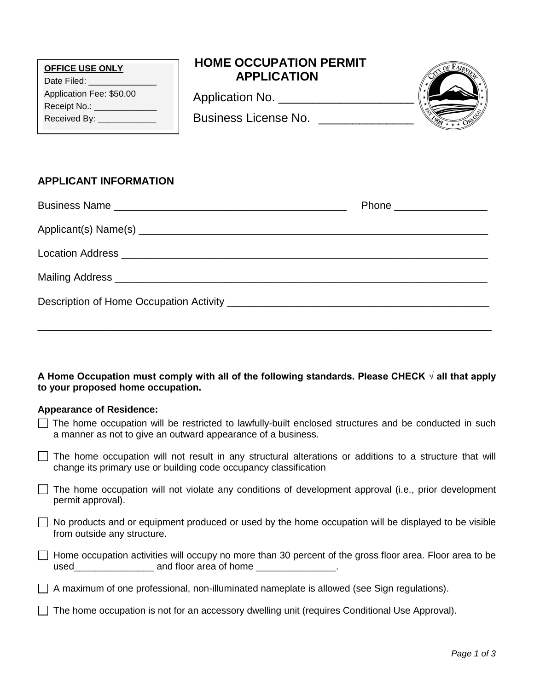| <b>OFFICE USE ONLY</b><br>Date Filed: _______________<br>Application Fee: \$50.00<br>Receipt No.: ______________<br>Received By: _____________                              | <b>HOME OCCUPATION PERMIT</b><br><b>APPLICATION</b><br>Business License No. ______________               |                           |  |  |  |
|-----------------------------------------------------------------------------------------------------------------------------------------------------------------------------|----------------------------------------------------------------------------------------------------------|---------------------------|--|--|--|
| <b>APPLICANT INFORMATION</b>                                                                                                                                                |                                                                                                          |                           |  |  |  |
|                                                                                                                                                                             |                                                                                                          | Phone ___________________ |  |  |  |
|                                                                                                                                                                             |                                                                                                          |                           |  |  |  |
|                                                                                                                                                                             |                                                                                                          |                           |  |  |  |
|                                                                                                                                                                             |                                                                                                          |                           |  |  |  |
|                                                                                                                                                                             |                                                                                                          |                           |  |  |  |
| A Home Occupation must comply with all of the following standards. Please CHECK $\sqrt{}$ all that apply<br>to your proposed home occupation.                               |                                                                                                          |                           |  |  |  |
| <b>Appearance of Residence:</b>                                                                                                                                             |                                                                                                          |                           |  |  |  |
| The home occupation will be restricted to lawfully-built enclosed structures and be conducted in such<br>a manner as not to give an outward appearance of a business.       |                                                                                                          |                           |  |  |  |
| The home occupation will not result in any structural alterations or additions to a structure that will<br>change its primary use or building code occupancy classification |                                                                                                          |                           |  |  |  |
| The home occupation will not violate any conditions of development approval (i.e., prior development<br>permit approval).                                                   |                                                                                                          |                           |  |  |  |
| No products and or equipment produced or used by the home occupation will be displayed to be visible<br>from outside any structure.                                         |                                                                                                          |                           |  |  |  |
|                                                                                                                                                                             | Home occupation activities will occupy no more than 30 percent of the gross floor area. Floor area to be |                           |  |  |  |
| A maximum of one professional, non-illuminated nameplate is allowed (see Sign regulations).                                                                                 |                                                                                                          |                           |  |  |  |

The home occupation is not for an accessory dwelling unit (requires Conditional Use Approval).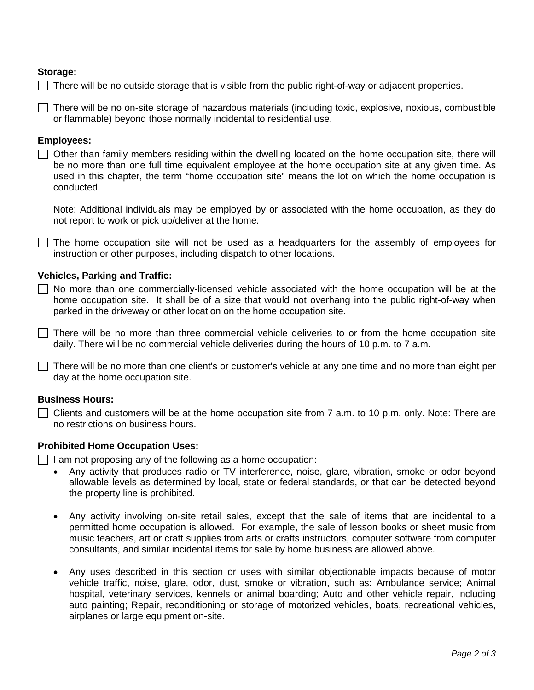# **Storage:**

 $\Box$  There will be no outside storage that is visible from the public right-of-way or adjacent properties.

 $\Box$  There will be no on-site storage of hazardous materials (including toxic, explosive, noxious, combustible or flammable) beyond those normally incidental to residential use.

### **Employees:**

 $\Box$  Other than family members residing within the dwelling located on the home occupation site, there will be no more than one full time equivalent employee at the home occupation site at any given time. As used in this chapter, the term "home occupation site" means the lot on which the home occupation is conducted.

Note: Additional individuals may be employed by or associated with the home occupation, as they do not report to work or pick up/deliver at the home.

 $\Box$  The home occupation site will not be used as a headquarters for the assembly of employees for instruction or other purposes, including dispatch to other locations.

# **Vehicles, Parking and Traffic:**

 $\Box$  No more than one commercially-licensed vehicle associated with the home occupation will be at the home occupation site. It shall be of a size that would not overhang into the public right-of-way when parked in the driveway or other location on the home occupation site.

 $\Box$  There will be no more than three commercial vehicle deliveries to or from the home occupation site daily. There will be no commercial vehicle deliveries during the hours of 10 p.m. to 7 a.m.

 $\Box$  There will be no more than one client's or customer's vehicle at any one time and no more than eight per day at the home occupation site.

### **Business Hours:**

 $\Box$  Clients and customers will be at the home occupation site from 7 a.m. to 10 p.m. only. Note: There are no restrictions on business hours.

#### **Prohibited Home Occupation Uses:**

 $\Box$  I am not proposing any of the following as a home occupation:

- Any activity that produces radio or TV interference, noise, glare, vibration, smoke or odor beyond allowable levels as determined by local, state or federal standards, or that can be detected beyond the property line is prohibited.
- Any activity involving on-site retail sales, except that the sale of items that are incidental to a permitted home occupation is allowed. For example, the sale of lesson books or sheet music from music teachers, art or craft supplies from arts or crafts instructors, computer software from computer consultants, and similar incidental items for sale by home business are allowed above.
- Any uses described in this section or uses with similar objectionable impacts because of motor vehicle traffic, noise, glare, odor, dust, smoke or vibration, such as: Ambulance service; Animal hospital, veterinary services, kennels or animal boarding; Auto and other vehicle repair, including auto painting; Repair, reconditioning or storage of motorized vehicles, boats, recreational vehicles, airplanes or large equipment on-site.